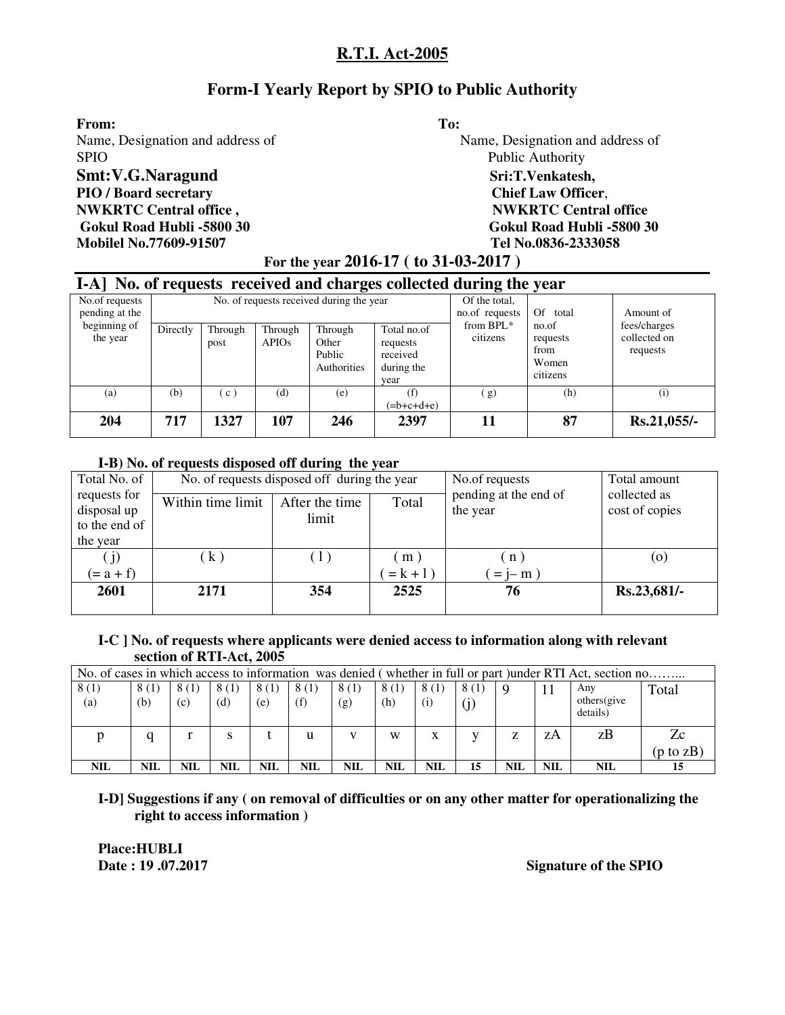# **Form-I Yearly Report by SPIO to Public Authority**

**From: To:**  Name, Designation and address of Name, Designation and address of SPIO Public Authority **Smt:V.G.Naragund** Sri:T.Venkatesh, **PIO / Board secretary Chief Law Officer**, **NWKRTC Central office ,**  THE SECRET AND **NWKRTC Central office**  $\mathbf{NWKRTC}$  Central office  **Gokul Road Hubli -5800 30 Gokul Road Hubli -5800 30 Mobilel No.77609-91507 Tel No.0836-2333058**

# **For the year 2016-17 ( to 31-03-2017 )**

|                                  | I-A] No. of requests received and charges collected during the year |                 |                         |                                           |                                                           |                       |                                                |                                          |  |  |  |  |  |
|----------------------------------|---------------------------------------------------------------------|-----------------|-------------------------|-------------------------------------------|-----------------------------------------------------------|-----------------------|------------------------------------------------|------------------------------------------|--|--|--|--|--|
| No.of requests<br>pending at the |                                                                     |                 |                         | No. of requests received during the year  | Of the total,<br>no.of requests                           | Of total              | Amount of                                      |                                          |  |  |  |  |  |
| beginning of<br>the year         | Directly                                                            | Through<br>post | Through<br><b>APIOs</b> | Through<br>Other<br>Public<br>Authorities | Total no.of<br>requests<br>received<br>during the<br>vear | from BPL*<br>citizens | no.of<br>requests<br>from<br>Women<br>citizens | fees/charges<br>collected on<br>requests |  |  |  |  |  |
| (a)                              | (b)                                                                 | (c)             | (d)                     | (e)                                       | (f)<br>$(=b+c+d+e)$                                       | (g)                   | (h)                                            | (i)                                      |  |  |  |  |  |
| 204                              | 717                                                                 | 1327            | 107                     | 246                                       | 2397                                                      | 11                    | 87                                             | Rs.21,055/-                              |  |  |  |  |  |

#### **I-B) No. of requests disposed off during the year**

| Total No. of                                 |                   | No. of requests disposed off during the year |             | No.of requests                    | Total amount                   |
|----------------------------------------------|-------------------|----------------------------------------------|-------------|-----------------------------------|--------------------------------|
| requests for<br>disposal up<br>to the end of | Within time limit | After the time<br>limit                      | Total       | pending at the end of<br>the year | collected as<br>cost of copies |
| the year                                     |                   |                                              |             |                                   |                                |
| (j)                                          | (k)               | (1)                                          | (m)         | $\mathbf{n}$                      | $\left( 0 \right)$             |
| $(= a + f)$                                  |                   |                                              | $= k + 1$ ) | $=$ j- m $)$                      |                                |
| 2601                                         | 2171              | 354                                          | 2525        | 76                                | Rs.23,681/-                    |

#### **I-C ] No. of requests where applicants were denied access to information along with relevant section of RTI-Act, 2005**

|             | No. of cases in which access to information was denied (whether in full or part )under RTI Act, section no |             |             |             |             |             |             |             |             |     |     |                                |                      |
|-------------|------------------------------------------------------------------------------------------------------------|-------------|-------------|-------------|-------------|-------------|-------------|-------------|-------------|-----|-----|--------------------------------|----------------------|
| 8(1)<br>(a) | 8(1)<br>(b)                                                                                                | 8(1)<br>(c) | 8(1)<br>(d) | 8(1)<br>(e) | 8(1)<br>(f) | 8(1)<br>(g) | 8(1)<br>(h) | 8(1)<br>(i) | 8(1)<br>(j) | Q   |     | Any<br>others(give<br>details) | Total                |
|             | a                                                                                                          |             | S           |             |             |             | W           | X           |             | Z   | zΑ  | zΒ                             | Zc                   |
|             |                                                                                                            |             |             |             |             |             |             |             |             |     |     |                                | $(p \text{ to } zB)$ |
| <b>NIL</b>  | <b>NIL</b>                                                                                                 | NIL         | <b>NIL</b>  | NIL         | NIL         | NIL         | <b>NIL</b>  | NIL         | 15          | NIL | NIL | <b>NIL</b>                     | 15                   |

**I-D] Suggestions if any ( on removal of difficulties or on any other matter for operationalizing the right to access information )** 

 **Place:HUBLI** 

**Date : 19 .07.2017 Signature of the SPIO**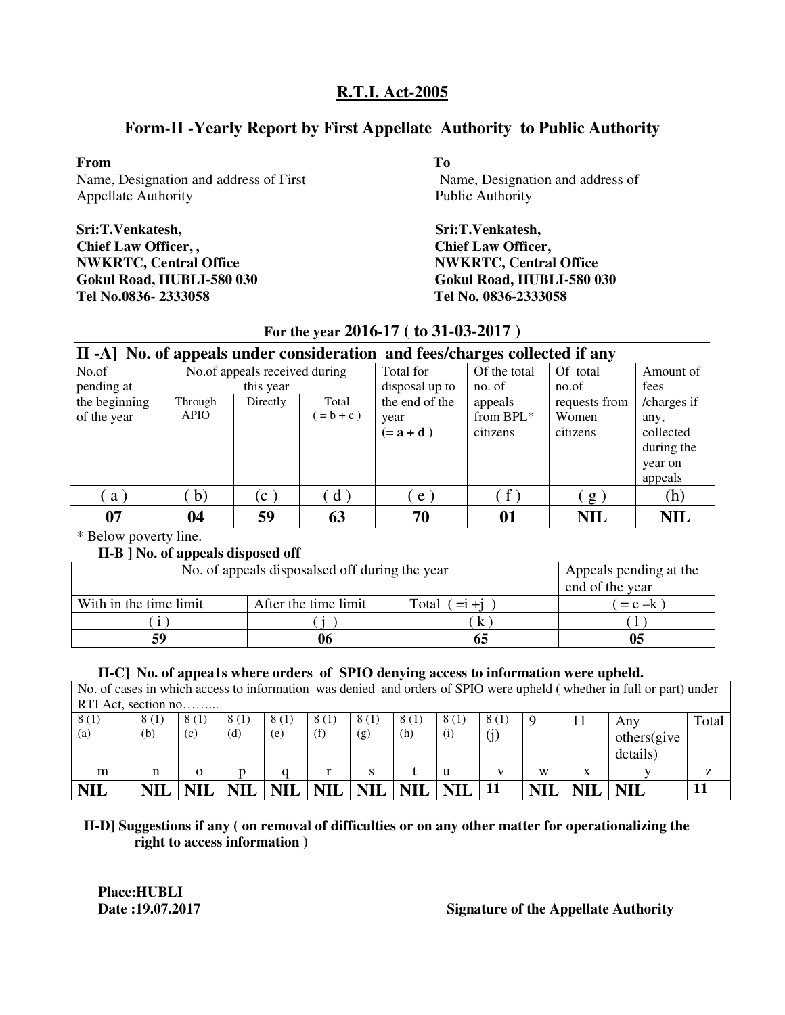# **Form-II -Yearly Report by First Appellate Authority to Public Authority**

#### **From To**

Name, Designation and address of First Name, Designation and address of Appellate Authority Public Authority

**Sri:T.Venkatesh, Sri:T.Venkatesh, Chief Law Officer, , Chief Law Officer, NWKRTC, Central Office** NWKRTC, Central Office **Gokul Road, HUBLI-580 030 Gokul Road, HUBLI-580 030 Tel No.0836- 2333058 Tel No. 0836-2333058**

# **For the year 2016-17 ( to 31-03-2017 )**

|               | II -A] No. of appeals under consideration and fees/charges collected if any |                               |                          |                |                   |               |             |  |  |  |  |  |  |
|---------------|-----------------------------------------------------------------------------|-------------------------------|--------------------------|----------------|-------------------|---------------|-------------|--|--|--|--|--|--|
| No.of         |                                                                             | No.of appeals received during |                          | Total for      | Of the total      | Of total      | Amount of   |  |  |  |  |  |  |
| pending at    |                                                                             | this year                     |                          | disposal up to | no. of            | no.of         | fees        |  |  |  |  |  |  |
| the beginning | Through                                                                     | Directly                      | Total                    | the end of the | appeals           | requests from | /charges if |  |  |  |  |  |  |
| of the year   | <b>APIO</b>                                                                 |                               | $= b + c$ )              | year           | from BPL*         | Women         | any,        |  |  |  |  |  |  |
|               |                                                                             |                               |                          | $(=a+d)$       | citizens          | citizens      | collected   |  |  |  |  |  |  |
|               |                                                                             |                               |                          |                |                   |               | during the  |  |  |  |  |  |  |
|               |                                                                             |                               |                          |                |                   |               | year on     |  |  |  |  |  |  |
|               |                                                                             |                               |                          |                |                   |               | appeals     |  |  |  |  |  |  |
| a)            | $\mathbf{b}$                                                                | $(c-)$                        | $\mathbf{d}^{\setminus}$ | e              | $\lceil f \rceil$ | g             | (h)         |  |  |  |  |  |  |
| 07            | 04                                                                          | 59                            | 63                       | 70             | 01                | <b>NIL</b>    | <b>NIL</b>  |  |  |  |  |  |  |

\* Below poverty line.

#### **II-B ] No. of appeals disposed off**

| No. of appeals disposalsed off during the year | Appeals pending at the<br>end of the year |                      |           |
|------------------------------------------------|-------------------------------------------|----------------------|-----------|
| With in the time limit                         | After the time limit                      | $=$ i $+$ i<br>Total | $= e - k$ |
|                                                |                                           |                      |           |
| 59                                             |                                           |                      |           |

#### **II-C] No. of appea1s where orders of SPIO denying access to information were upheld.**

No. of cases in which access to information was denied and orders of SPIO were upheld ( whether in full or part) under RTI Act, section no

| 111111100000001110 |            |            |            |            |            |            |            |            |      |            |            |             |       |
|--------------------|------------|------------|------------|------------|------------|------------|------------|------------|------|------------|------------|-------------|-------|
| 8(1)               | 8(1)       | 8(1)       | 8(1)       | 8(1)       | 8(1)       | 8(1)       | 8(1)       | 8(1)       | 8(1) | <b>g</b>   |            | Any         | Total |
| $\left( a\right)$  | (b)        | (c)        | (d)        | (e)        | (f)        | (g)        | (h)        | (i)        |      |            |            | others(give |       |
|                    |            |            |            |            |            |            |            |            |      |            |            | details)    |       |
| m                  | n          | о          |            |            |            |            |            | u          |      | W          | X          |             |       |
| <b>NIL</b>         | <b>NIL</b> | <b>NIL</b> | <b>NIL</b> | <b>NIL</b> | <b>NIL</b> | <b>NIL</b> | <b>NIL</b> | <b>NIL</b> | 11   | <b>NIL</b> | <b>NIL</b> | <b>NIL</b>  |       |

#### **II-D] Suggestions if any ( on removal of difficulties or on any other matter for operationalizing the right to access information )**

**Place:HUBLI** 

## **Date :19.07.2017 Signature of the Appellate Authority**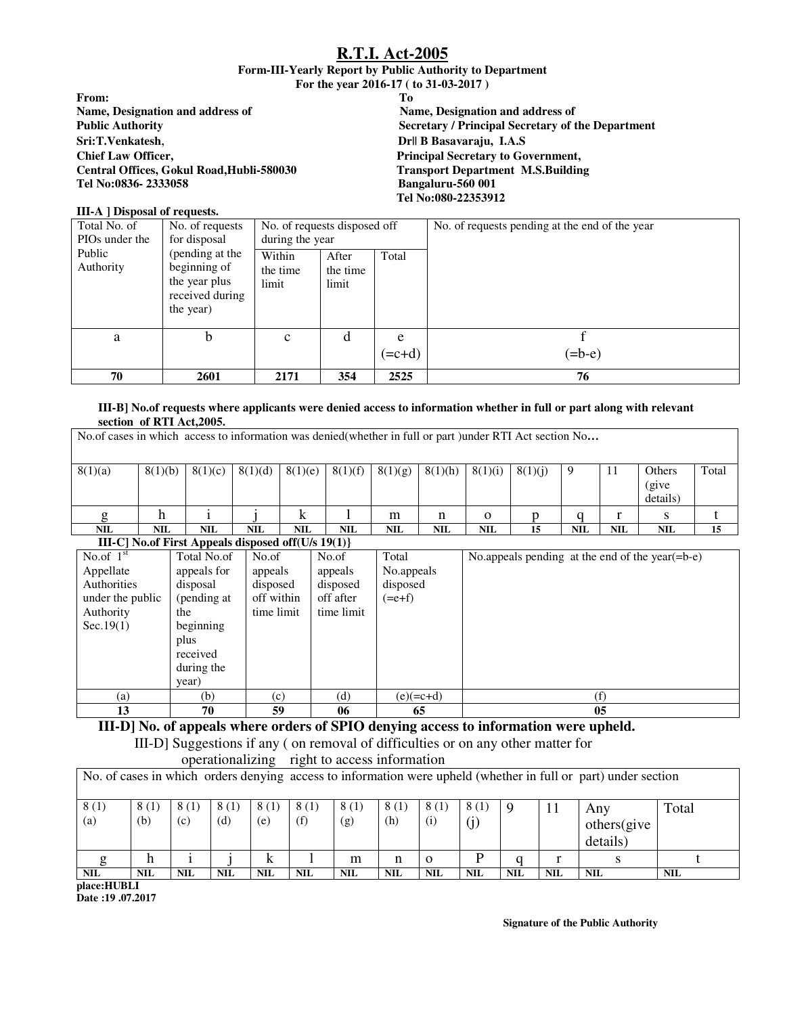#### **Form-III-Yearly Report by Public Authority to Department For the year 2016-17 ( to 31-03-2017 )**

| Tо                                                |
|---------------------------------------------------|
| Name, Designation and address of                  |
| Secretary / Principal Secretary of the Department |
| Dr   B Basavaraju, I.A.S                          |
| <b>Principal Secretary to Government,</b>         |
| <b>Transport Department M.S.Building</b>          |
| Bangaluru-560 001                                 |
| Tel No:080-22353912                               |
|                                                   |

#### **III-A ] Disposal of requests.**  Total No. of PIOs under the Public Authority No. of requests for disposal (pending at the beginning of the year plus received during the year) No. of requests disposed off during the year No. of requests pending at the end of the year Within the time limit After the time limit Total a b c d e  $(=c+d)$ f  $(=b-e)$ **70 2601 2171 354 2525 76**

#### **III-B] No.of requests where applicants were denied access to information whether in full or part along with relevant section of RTI Act,2005.**

| No.of cases in which access to information was denied(whether in full or part )under RTI Act section No |                          |      |             |                                                      |            |            |            |            |          |            |            |            |                                                    |       |
|---------------------------------------------------------------------------------------------------------|--------------------------|------|-------------|------------------------------------------------------|------------|------------|------------|------------|----------|------------|------------|------------|----------------------------------------------------|-------|
| 8(1)(a)                                                                                                 | 8(1)(b)                  |      | 8(1)(c)     | 8(1)(d)                                              | 8(1)(e)    | 8(1)(f)    | 8(1)(g)    | 8(1)(h)    | 8(1)(i)  | 8(1)(j)    | 9          | 11         | Others<br>(give)<br>details)                       | Total |
|                                                                                                         | h                        |      |             |                                                      | k          |            | m          | n          | $\Omega$ |            |            |            | S                                                  |       |
| <b>NIL</b>                                                                                              | <b>NIL</b><br><b>NIL</b> |      | <b>NIL</b>  | NIL                                                  | <b>NIL</b> | <b>NIL</b> | <b>NIL</b> | <b>NIL</b> | 15       | <b>NIL</b> | <b>NIL</b> | <b>NIL</b> | 15                                                 |       |
|                                                                                                         |                          |      |             | III-C] No.of First Appeals disposed of $(U/s 19(1))$ |            |            |            |            |          |            |            |            |                                                    |       |
| No.of $1st$                                                                                             |                          |      | Total No.of | No.of                                                |            | No.of      | Total      |            |          |            |            |            | No.appeals pending at the end of the year $(=b-e)$ |       |
| Appellate                                                                                               |                          |      | appeals for | appeals                                              |            | appeals    | No.appeals |            |          |            |            |            |                                                    |       |
| Authorities                                                                                             |                          |      | disposal    | disposed                                             |            | disposed   | disposed   |            |          |            |            |            |                                                    |       |
| under the public                                                                                        |                          |      | (pending at | off within                                           |            | off after  | $(=e+f)$   |            |          |            |            |            |                                                    |       |
| Authority                                                                                               |                          | the  |             | time limit                                           |            | time limit |            |            |          |            |            |            |                                                    |       |
| Sec.19(1)                                                                                               |                          |      | beginning   |                                                      |            |            |            |            |          |            |            |            |                                                    |       |
|                                                                                                         |                          | plus |             |                                                      |            |            |            |            |          |            |            |            |                                                    |       |

# (a) (b) (c) (d) (e)(=c+d) (f) 13 | 70 | 59 | 06 | 65 | 13 | 05

# **III-D] No. of appeals where orders of SPIO denying access to information were upheld.**

 III-D] Suggestions if any ( on removal of difficulties or on any other matter for operationalizing right to access information

|             |                                                                                                                |             |             |             | operationalizing right to access information |             |             |             |             |            |            |                                |            |
|-------------|----------------------------------------------------------------------------------------------------------------|-------------|-------------|-------------|----------------------------------------------|-------------|-------------|-------------|-------------|------------|------------|--------------------------------|------------|
|             | No. of cases in which orders denying access to information were upheld (whether in full or part) under section |             |             |             |                                              |             |             |             |             |            |            |                                |            |
| 8(1)<br>(a) | 8(1)<br>(b)                                                                                                    | 8(1)<br>(c) | 8(1)<br>(d) | 8(1)<br>(e) | 8(1)<br>(f)                                  | 8(1)<br>(g) | 8(1)<br>(h) | 8(1)<br>(i) | 8(1)<br>(j) |            | 11         | Any<br>others(give<br>details) | Total      |
|             |                                                                                                                |             |             |             |                                              | m           | n           | $\Omega$    |             |            |            |                                |            |
| <b>NIL</b>  | <b>NIL</b>                                                                                                     | <b>NIL</b>  | NIL         | <b>NIL</b>  | <b>NIL</b>                                   | <b>NIL</b>  | <b>NIL</b>  | <b>NIL</b>  | <b>NIL</b>  | <b>NIL</b> | <b>NIL</b> | <b>NIL</b>                     | <b>NIL</b> |

**place:HUBLI** 

received during the year)

**Date :19 .07.2017**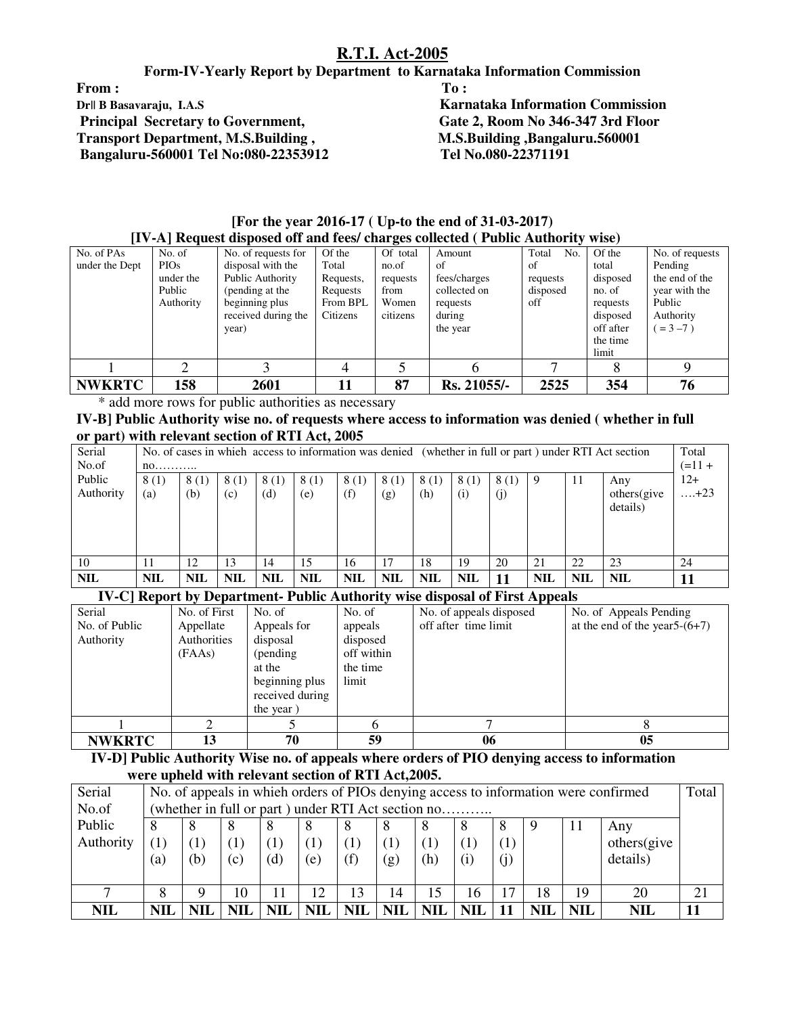**Form-IV-Yearly Report by Department to Karnataka Information Commission** 

From : To : The second second second second second second second second second second second second second second second second second second second second second second second second second second second second second sec **Dr|| B Basavaraju, I.A.S**<br> **Rate 2. Room No 346-347 3rd Floor**<br> **Principal Secretary to Government.** Gate 2. Room No 346-347 3rd Floor  **Principal Secretary to Government, Transport Department, M.S.Building , M.S.Building ,Bangaluru.560001**<br> **Bangaluru-560001 Tel No:080-22353912** Tel No.080-22371191  **Bangaluru-560001 Tel No:080-22353912 Tel No.080-22371191** 

|                | $\mu$ ) $\pi$ ) included upposed on and recs/ enarges concercu ( I ubile $\pi$ uthority wise) |                     |           |          |              |              |           |                 |  |  |  |  |  |  |
|----------------|-----------------------------------------------------------------------------------------------|---------------------|-----------|----------|--------------|--------------|-----------|-----------------|--|--|--|--|--|--|
| No. of PAs     | No. of                                                                                        | No. of requests for | Of the    | Of total | Amount       | Total<br>No. | Of the    | No. of requests |  |  |  |  |  |  |
| under the Dept | <b>PIOs</b>                                                                                   | disposal with the   | Total     | no.of    | of           | of           | total     | Pending         |  |  |  |  |  |  |
|                | under the                                                                                     | Public Authority    | Requests, | requests | fees/charges | requests     | disposed  | the end of the  |  |  |  |  |  |  |
|                | Public                                                                                        | (pending at the     | Requests  | from     | collected on | disposed     | no. of    | year with the   |  |  |  |  |  |  |
|                | Authority                                                                                     | beginning plus      | From BPL  | Women    | requests     | off          | requests  | Public          |  |  |  |  |  |  |
|                |                                                                                               | received during the | Citizens  | citizens | during       |              | disposed  | Authority       |  |  |  |  |  |  |
|                |                                                                                               | year)               |           |          | the year     |              | off after | $= 3 - 7$ )     |  |  |  |  |  |  |
|                |                                                                                               |                     |           |          |              |              | the time  |                 |  |  |  |  |  |  |
|                |                                                                                               |                     |           |          |              |              | limit     |                 |  |  |  |  |  |  |
|                |                                                                                               |                     |           |          |              |              |           |                 |  |  |  |  |  |  |
| <b>NWKRTC</b>  | 158                                                                                           | 2601                | 11        | 87       | Rs. 21055/-  | 2525         | 354       | 76              |  |  |  |  |  |  |

**[For the year 2016-17 ( Up-to the end of 31-03-2017) [IV-A] Request disposed off and fees/ charges collected ( Public Authority wise)** 

\* add more rows for public authorities as necessary

**IV-B] Public Authority wise no. of requests where access to information was denied ( whether in full or part) with relevant section of RTI Act, 2005** 

| Serial     |            |            |            |            |            |            |            |            |            |      |            |            | No. of cases in which access to information was denied (whether in full or part) under RTI Act section | Total |
|------------|------------|------------|------------|------------|------------|------------|------------|------------|------------|------|------------|------------|--------------------------------------------------------------------------------------------------------|-------|
| No.of      | no         |            |            |            |            |            |            |            |            |      |            |            | $(=11 +$                                                                                               |       |
| Public     | 8(1)       | 8(1)       | 8(1)       | 8(1)       | 8(1)       | 8(1)       | 8(1)       | 8(1)       | 8(1)       | 8(1) | 9          | 11         | Any                                                                                                    | $12+$ |
| Authority  | (a)        | (b)        | (c)        | (d)        | (e)        | (f)        | (g)        | (h)        | (i)        | (i)  |            |            | others(give                                                                                            | . +23 |
|            |            |            |            |            |            |            |            |            |            |      |            |            | details)                                                                                               |       |
|            |            |            |            |            |            |            |            |            |            |      |            |            |                                                                                                        |       |
|            |            |            |            |            |            |            |            |            |            |      |            |            |                                                                                                        |       |
|            |            |            |            |            |            |            |            |            |            |      |            |            |                                                                                                        |       |
| 10         |            | 12         | 13         | 14         | 15         | 16         | 17         | 18         | 19         | 20   | 21         | 22         | 23                                                                                                     | 24    |
| <b>NIL</b> | <b>NIL</b> | <b>NIL</b> | <b>NIL</b> | <b>NIL</b> | <b>NIL</b> | <b>NIL</b> | <b>NIL</b> | <b>NIL</b> | <b>NIL</b> |      | <b>NIL</b> | <b>NIL</b> | <b>NIL</b>                                                                                             |       |

#### **IV-C] Report by Department- Public Authority wise disposal of First Appeals**

| Serial        | No. of First | No. of          | No. of       | No. of appeals disposed | No. of Appeals Pending           |
|---------------|--------------|-----------------|--------------|-------------------------|----------------------------------|
| No. of Public | Appellate    | Appeals for     | appeals      | off after time limit    | at the end of the year $5-(6+7)$ |
| Authority     | Authorities  | disposal        | disposed     |                         |                                  |
|               | (FAAs)       | (pending)       | off within   |                         |                                  |
|               |              | at the          | the time     |                         |                                  |
|               |              | beginning plus  | limit        |                         |                                  |
|               |              | received during |              |                         |                                  |
|               |              | the year)       |              |                         |                                  |
|               |              |                 | <sub>0</sub> |                         |                                  |
| <b>NWKRTC</b> | 13           | 70              | 59           | 06                      | 05                               |

 **IV-D] Public Authority Wise no. of appeals where orders of PIO denying access to information were upheld with relevant section of RTI Act,2005.** 

| Serial     | No. of appeals in which orders of PIOs denying access to information were confirmed |                                                    |            |            |            |                  |            |            |            | Total     |     |            |             |    |
|------------|-------------------------------------------------------------------------------------|----------------------------------------------------|------------|------------|------------|------------------|------------|------------|------------|-----------|-----|------------|-------------|----|
| No.of      |                                                                                     | (whether in full or part) under RTI Act section no |            |            |            |                  |            |            |            |           |     |            |             |    |
| Public     |                                                                                     |                                                    |            |            | δ          |                  | x          |            |            |           |     | $\perp$    | Any         |    |
| Authority  |                                                                                     |                                                    |            |            |            | $\left(1\right)$ | (1)        |            |            |           |     |            | others(give |    |
|            | (a)                                                                                 | (b)                                                | (c)        | (d)        | (e)        | (f)              | (g)        | (h)        | (i)        | $\rm (j)$ |     |            | details)    |    |
|            |                                                                                     |                                                    |            |            |            |                  |            |            |            |           |     |            |             |    |
|            |                                                                                     |                                                    | 10         |            | 12         | 13               | 14         | 15         | 16         |           | 18  | 19         | 20          | 21 |
| <b>NIL</b> | NIL                                                                                 |                                                    | <b>NIL</b> | <b>NIL</b> | <b>NIL</b> | <b>NIL</b>       | <b>NIL</b> | <b>NIL</b> | <b>NIL</b> | 11        | NIL | <b>NIL</b> | <b>NIL</b>  |    |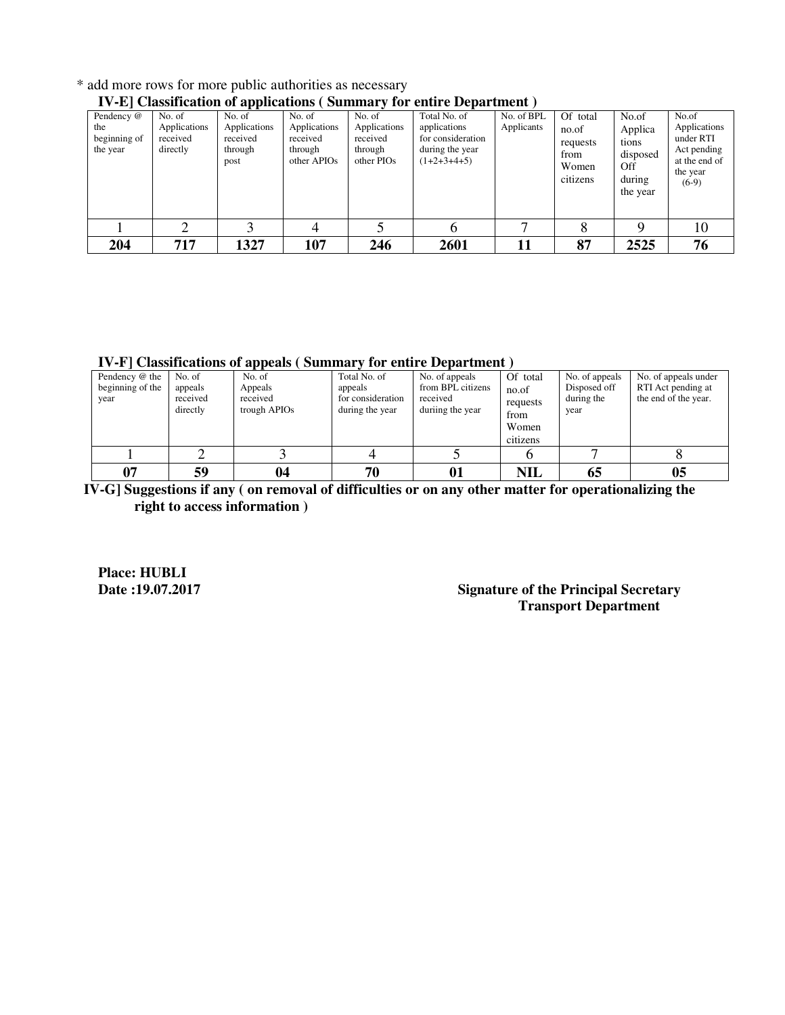| TV-E Classification of applications (Summary for chiffe Department) |                                                |                                                       |                                                                          |                                                             |                                                                                       |                          |                                                            |                                                                    |                                                                                           |  |
|---------------------------------------------------------------------|------------------------------------------------|-------------------------------------------------------|--------------------------------------------------------------------------|-------------------------------------------------------------|---------------------------------------------------------------------------------------|--------------------------|------------------------------------------------------------|--------------------------------------------------------------------|-------------------------------------------------------------------------------------------|--|
| Pendency @<br>the<br>beginning of<br>the year                       | No. of<br>Applications<br>received<br>directly | No. of<br>Applications<br>received<br>through<br>post | No. of<br>Applications<br>received<br>through<br>other APIO <sub>s</sub> | No. of<br>Applications<br>received<br>through<br>other PIOs | Total No. of<br>applications<br>for consideration<br>during the year<br>$(1+2+3+4+5)$ | No. of BPL<br>Applicants | Of total<br>no.of<br>requests<br>from<br>Women<br>citizens | No.of<br>Applica<br>tions<br>disposed<br>Off<br>during<br>the year | No.of<br>Applications<br>under RTI<br>Act pending<br>at the end of<br>the year<br>$(6-9)$ |  |
|                                                                     |                                                |                                                       | 4                                                                        |                                                             | n                                                                                     |                          |                                                            |                                                                    | 10                                                                                        |  |
| 204                                                                 | 717                                            | 1327                                                  | 107                                                                      | 246                                                         | 2601                                                                                  |                          | 87                                                         | 2525                                                               | 76                                                                                        |  |

\* add more rows for more public authorities as necessary

## **IV-E] Classification of applications ( Summary for entire Department )**

**IV-F] Classifications of appeals ( Summary for entire Department )** 

| Pendency @ the<br>beginning of the<br>year | No. of<br>appeals<br>received<br>directly | No. of<br>Appeals<br>received<br>trough APIO <sub>s</sub> | Total No. of<br>appeals<br>for consideration<br>during the year | No. of appeals<br>from BPL citizens<br>received<br>duriing the year | Of total<br>no.of<br>requests<br>from<br>Women<br>citizens | No. of appeals<br>Disposed off<br>during the<br>year | No. of appeals under<br>RTI Act pending at<br>the end of the year. |
|--------------------------------------------|-------------------------------------------|-----------------------------------------------------------|-----------------------------------------------------------------|---------------------------------------------------------------------|------------------------------------------------------------|------------------------------------------------------|--------------------------------------------------------------------|
|                                            |                                           |                                                           |                                                                 |                                                                     |                                                            |                                                      |                                                                    |
| 07                                         | 59                                        | 04                                                        | 70                                                              | 01                                                                  | <b>NIL</b>                                                 | 65                                                   | 0 <sub>5</sub>                                                     |

 **IV-G] Suggestions if any ( on removal of difficulties or on any other matter for operationalizing the right to access information )** 

**Place: HUBLI** 

#### **Signature of the Principal Secretary Transport Department**